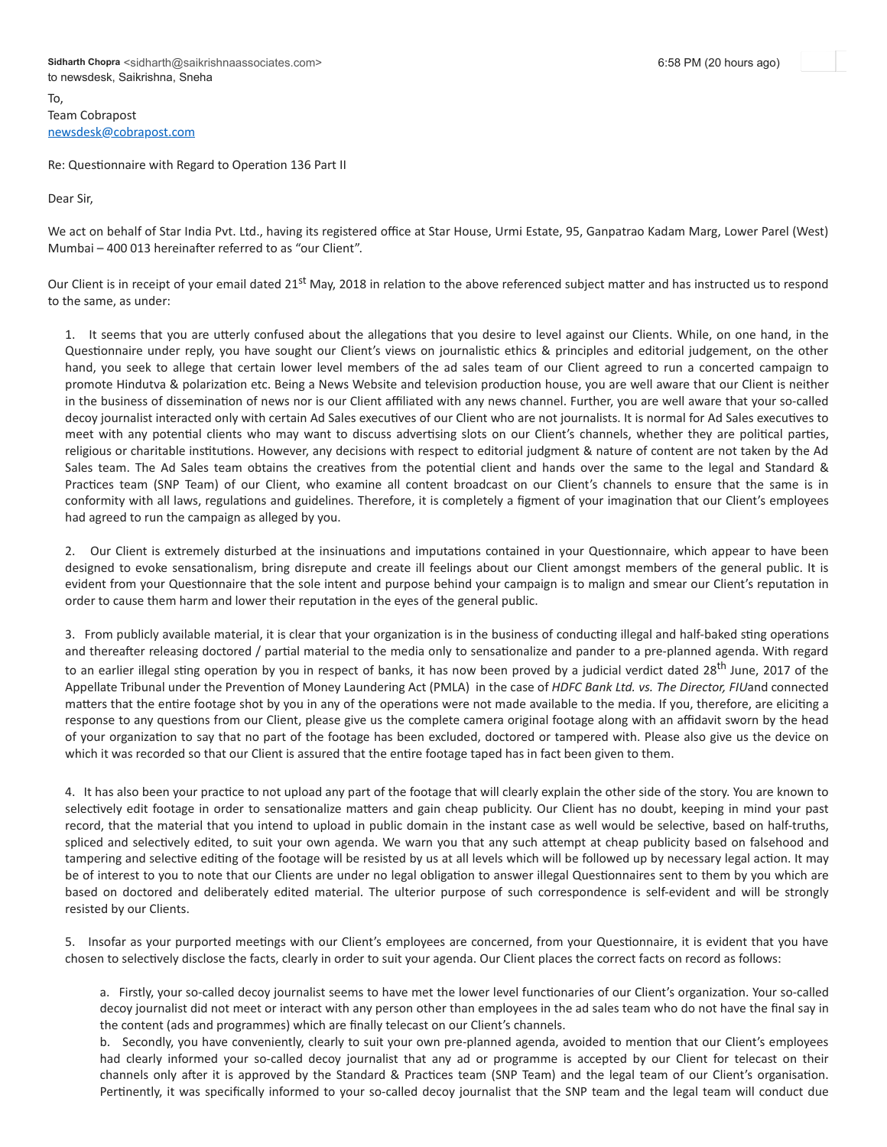To, Team Cobrapost [newsdesk@cobrapost.com](mailto:newsdesk@cobrapost.com)

Re: Questionnaire with Regard to Operation 136 Part II

Dear Sir,

We act on behalf of Star India Pvt. Ltd., having its registered office at Star House, Urmi Estate, 95, Ganpatrao Kadam Marg, Lower Parel (West) Mumbai – 400 013 hereinafter referred to as "our Client".

Our Client is in receipt of your email dated 21<sup>st</sup> May, 2018 in relation to the above referenced subject matter and has instructed us to respond to the same, as under:

1. It seems that you are utterly confused about the allegations that you desire to level against our Clients. While, on one hand, in the Questionnaire under reply, you have sought our Client's views on journalistic ethics & principles and editorial judgement, on the other hand, you seek to allege that certain lower level members of the ad sales team of our Client agreed to run a concerted campaign to promote Hindutva & polarization etc. Being a News Website and television production house, you are well aware that our Client is neither in the business of dissemination of news nor is our Client affiliated with any news channel. Further, you are well aware that your so-called decoy journalist interacted only with certain Ad Sales executives of our Client who are not journalists. It is normal for Ad Sales executives to meet with any potential clients who may want to discuss advertising slots on our Client's channels, whether they are political parties, religious or charitable institutions. However, any decisions with respect to editorial judgment & nature of content are not taken by the Ad Sales team. The Ad Sales team obtains the creatives from the potential client and hands over the same to the legal and Standard & Practices team (SNP Team) of our Client, who examine all content broadcast on our Client's channels to ensure that the same is in conformity with all laws, regulations and guidelines. Therefore, it is completely a figment of your imagination that our Client's employees had agreed to run the campaign as alleged by you.

2. Our Client is extremely disturbed at the insinuations and imputations contained in your Questionnaire, which appear to have been designed to evoke sensationalism, bring disrepute and create ill feelings about our Client amongst members of the general public. It is evident from your Questionnaire that the sole intent and purpose behind your campaign is to malign and smear our Client's reputation in order to cause them harm and lower their reputation in the eyes of the general public.

3. From publicly available material, it is clear that your organization is in the business of conducting illegal and half-baked sting operations and thereafter releasing doctored / partial material to the media only to sensationalize and pander to a pre-planned agenda. With regard to an earlier illegal sting operation by you in respect of banks, it has now been proved by a judicial verdict dated 28<sup>th</sup> June, 2017 of the Appellate Tribunal under the Prevention of Money Laundering Act (PMLA) in the case of HDFC Bank Ltd. vs. The Director, FIUand connected matters that the entire footage shot by you in any of the operations were not made available to the media. If you, therefore, are eliciting a response to any questions from our Client, please give us the complete camera original footage along with an affidavit sworn by the head of your organization to say that no part of the footage has been excluded, doctored or tampered with. Please also give us the device on which it was recorded so that our Client is assured that the entire footage taped has in fact been given to them.

4. It has also been your practice to not upload any part of the footage that will clearly explain the other side of the story. You are known to selectively edit footage in order to sensationalize matters and gain cheap publicity. Our Client has no doubt, keeping in mind your past record, that the material that you intend to upload in public domain in the instant case as well would be selective, based on half-truths, spliced and selectively edited, to suit your own agenda. We warn you that any such attempt at cheap publicity based on falsehood and tampering and selective editing of the footage will be resisted by us at all levels which will be followed up by necessary legal action. It may be of interest to you to note that our Clients are under no legal obligation to answer illegal Questionnaires sent to them by you which are based on doctored and deliberately edited material. The ulterior purpose of such correspondence is self-evident and will be strongly resisted by our Clients.

5. Insofar as your purported meetings with our Client's employees are concerned, from your Questionnaire, it is evident that you have chosen to selectively disclose the facts, clearly in order to suit your agenda. Our Client places the correct facts on record as follows:

a. Firstly, your so-called decoy journalist seems to have met the lower level functionaries of our Client's organization. Your so-called decoy journalist did not meet or interact with any person other than employees in the ad sales team who do not have the final say in the content (ads and programmes) which are finally telecast on our Client's channels.

b. Secondly, you have conveniently, clearly to suit your own pre-planned agenda, avoided to mention that our Client's employees had clearly informed your so-called decoy journalist that any ad or programme is accepted by our Client for telecast on their channels only after it is approved by the Standard & Practices team (SNP Team) and the legal team of our Client's organisation. Pertinently, it was specifically informed to your so-called decoy journalist that the SNP team and the legal team will conduct due